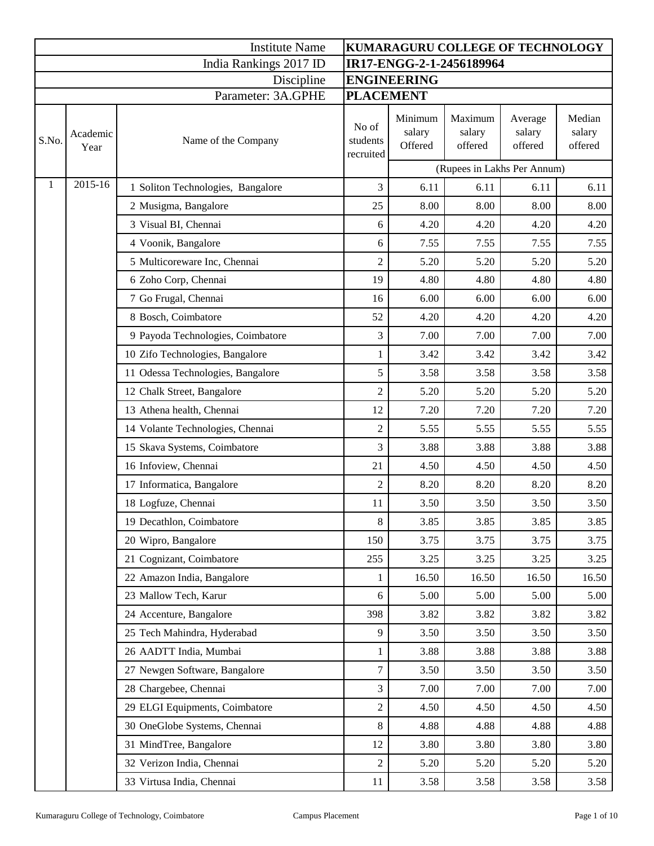|       |                  | <b>Institute Name</b>             |                                |                              | KUMARAGURU COLLEGE OF TECHNOLOGY |                              |                             |
|-------|------------------|-----------------------------------|--------------------------------|------------------------------|----------------------------------|------------------------------|-----------------------------|
|       |                  | India Rankings 2017 ID            |                                |                              | IR17-ENGG-2-1-2456189964         |                              |                             |
|       |                  | Discipline                        |                                | <b>ENGINEERING</b>           |                                  |                              |                             |
|       |                  | Parameter: 3A.GPHE                | <b>PLACEMENT</b>               |                              |                                  |                              |                             |
| S.No. | Academic<br>Year | Name of the Company               | No of<br>students<br>recruited | Minimum<br>salary<br>Offered | Maximum<br>salary<br>offered     | Average<br>salary<br>offered | Median<br>salary<br>offered |
|       |                  |                                   |                                |                              | (Rupees in Lakhs Per Annum)      |                              |                             |
| 1     | 2015-16          | 1 Soliton Technologies, Bangalore | 3                              | 6.11                         | 6.11                             | 6.11                         | 6.11                        |
|       |                  | 2 Musigma, Bangalore              | 25                             | 8.00                         | 8.00                             | 8.00                         | 8.00                        |
|       |                  | 3 Visual BI, Chennai              | 6                              | 4.20                         | 4.20                             | 4.20                         | 4.20                        |
|       |                  | 4 Voonik, Bangalore               | 6                              | 7.55                         | 7.55                             | 7.55                         | 7.55                        |
|       |                  | 5 Multicoreware Inc, Chennai      | $\overline{2}$                 | 5.20                         | 5.20                             | 5.20                         | 5.20                        |
|       |                  | 6 Zoho Corp, Chennai              | 19                             | 4.80                         | 4.80                             | 4.80                         | 4.80                        |
|       |                  | 7 Go Frugal, Chennai              | 16                             | 6.00                         | 6.00                             | 6.00                         | 6.00                        |
|       |                  | 8 Bosch, Coimbatore               | 52                             | 4.20                         | 4.20                             | 4.20                         | 4.20                        |
|       |                  | 9 Payoda Technologies, Coimbatore | 3                              | 7.00                         | 7.00                             | 7.00                         | 7.00                        |
|       |                  | 10 Zifo Technologies, Bangalore   | 1                              | 3.42                         | 3.42                             | 3.42                         | 3.42                        |
|       |                  | 11 Odessa Technologies, Bangalore | 5                              | 3.58                         | 3.58                             | 3.58                         | 3.58                        |
|       |                  | 12 Chalk Street, Bangalore        | $\overline{2}$                 | 5.20                         | 5.20                             | 5.20                         | 5.20                        |
|       |                  | 13 Athena health, Chennai         | 12                             | 7.20                         | 7.20                             | 7.20                         | 7.20                        |
|       |                  | 14 Volante Technologies, Chennai  | $\overline{2}$                 | 5.55                         | 5.55                             | 5.55                         | 5.55                        |
|       |                  | 15 Skava Systems, Coimbatore      | 3                              | 3.88                         | 3.88                             | 3.88                         | 3.88                        |
|       |                  | 16 Infoview, Chennai              | 21                             | 4.50                         | 4.50                             | 4.50                         | 4.50                        |
|       |                  | 17 Informatica, Bangalore         | $\overline{c}$                 | 8.20                         | 8.20                             | 8.20                         | 8.20                        |
|       |                  | 18 Logfuze, Chennai               | 11                             | 3.50                         | 3.50                             | 3.50                         | 3.50                        |
|       |                  | 19 Decathlon, Coimbatore          | $8\,$                          | 3.85                         | 3.85                             | 3.85                         | 3.85                        |
|       |                  | 20 Wipro, Bangalore               | 150                            | 3.75                         | 3.75                             | 3.75                         | 3.75                        |
|       |                  | 21 Cognizant, Coimbatore          | 255                            | 3.25                         | 3.25                             | 3.25                         | 3.25                        |
|       |                  | 22 Amazon India, Bangalore        | 1                              | 16.50                        | 16.50                            | 16.50                        | 16.50                       |
|       |                  | 23 Mallow Tech, Karur             | 6                              | 5.00                         | 5.00                             | 5.00                         | 5.00                        |
|       |                  | 24 Accenture, Bangalore           | 398                            | 3.82                         | 3.82                             | 3.82                         | 3.82                        |
|       |                  | 25 Tech Mahindra, Hyderabad       | 9                              | 3.50                         | 3.50                             | 3.50                         | 3.50                        |
|       |                  | 26 AADTT India, Mumbai            | 1                              | 3.88                         | 3.88                             | 3.88                         | 3.88                        |
|       |                  | 27 Newgen Software, Bangalore     | $\boldsymbol{7}$               | 3.50                         | 3.50                             | 3.50                         | 3.50                        |
|       |                  | 28 Chargebee, Chennai             | $\mathfrak{Z}$                 | 7.00                         | 7.00                             | 7.00                         | 7.00                        |
|       |                  | 29 ELGI Equipments, Coimbatore    | $\overline{2}$                 | 4.50                         | 4.50                             | 4.50                         | 4.50                        |
|       |                  | 30 OneGlobe Systems, Chennai      | 8                              | 4.88                         | 4.88                             | 4.88                         | 4.88                        |
|       |                  | 31 MindTree, Bangalore            | 12                             | 3.80                         | 3.80                             | 3.80                         | 3.80                        |
|       |                  | 32 Verizon India, Chennai         | $\overline{2}$                 | 5.20                         | 5.20                             | 5.20                         | 5.20                        |
|       |                  | 33 Virtusa India, Chennai         | 11                             | 3.58                         | 3.58                             | 3.58                         | 3.58                        |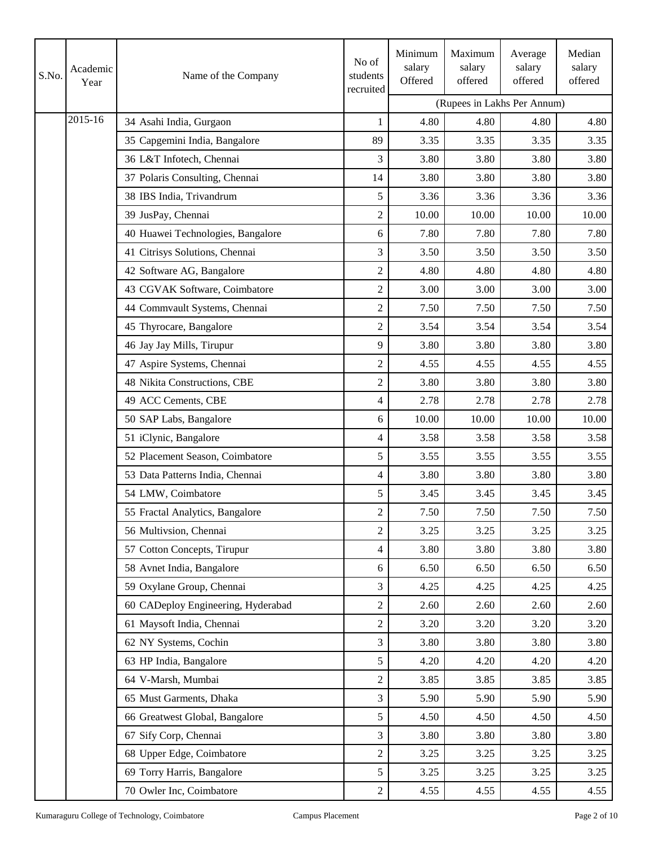| S.No. | Academic<br>Year | Name of the Company                | No of<br>students<br>recruited | Minimum<br>salary<br>Offered | Maximum<br>salary<br>offered | Average<br>salary<br>offered | Median<br>salary<br>offered |
|-------|------------------|------------------------------------|--------------------------------|------------------------------|------------------------------|------------------------------|-----------------------------|
|       |                  |                                    |                                |                              |                              | (Rupees in Lakhs Per Annum)  |                             |
|       | 2015-16          | 34 Asahi India, Gurgaon            | 1                              | 4.80                         | 4.80                         | 4.80                         | 4.80                        |
|       |                  | 35 Capgemini India, Bangalore      | 89                             | 3.35                         | 3.35                         | 3.35                         | 3.35                        |
|       |                  | 36 L&T Infotech, Chennai           | 3                              | 3.80                         | 3.80                         | 3.80                         | 3.80                        |
|       |                  | 37 Polaris Consulting, Chennai     | 14                             | 3.80                         | 3.80                         | 3.80                         | 3.80                        |
|       |                  | 38 IBS India, Trivandrum           | 5                              | 3.36                         | 3.36                         | 3.36                         | 3.36                        |
|       |                  | 39 JusPay, Chennai                 | $\mathbf{2}$                   | 10.00                        | 10.00                        | 10.00                        | 10.00                       |
|       |                  | 40 Huawei Technologies, Bangalore  | 6                              | 7.80                         | 7.80                         | 7.80                         | 7.80                        |
|       |                  | 41 Citrisys Solutions, Chennai     | 3                              | 3.50                         | 3.50                         | 3.50                         | 3.50                        |
|       |                  | 42 Software AG, Bangalore          | $\mathbf{2}$                   | 4.80                         | 4.80                         | 4.80                         | 4.80                        |
|       |                  | 43 CGVAK Software, Coimbatore      | $\overline{2}$                 | 3.00                         | 3.00                         | 3.00                         | 3.00                        |
|       |                  | 44 Commvault Systems, Chennai      | $\mathbf{2}$                   | 7.50                         | 7.50                         | 7.50                         | 7.50                        |
|       |                  | 45 Thyrocare, Bangalore            | $\overline{2}$                 | 3.54                         | 3.54                         | 3.54                         | 3.54                        |
|       |                  | 46 Jay Jay Mills, Tirupur          | 9                              | 3.80                         | 3.80                         | 3.80                         | 3.80                        |
|       |                  | 47 Aspire Systems, Chennai         | $\mathfrak{2}$                 | 4.55                         | 4.55                         | 4.55                         | 4.55                        |
|       |                  | 48 Nikita Constructions, CBE       | $\boldsymbol{2}$               | 3.80                         | 3.80                         | 3.80                         | 3.80                        |
|       |                  | 49 ACC Cements, CBE                | 4                              | 2.78                         | 2.78                         | 2.78                         | 2.78                        |
|       |                  | 50 SAP Labs, Bangalore             | 6                              | 10.00                        | 10.00                        | 10.00                        | 10.00                       |
|       |                  | 51 iClynic, Bangalore              | 4                              | 3.58                         | 3.58                         | 3.58                         | 3.58                        |
|       |                  | 52 Placement Season, Coimbatore    | 5                              | 3.55                         | 3.55                         | 3.55                         | 3.55                        |
|       |                  | 53 Data Patterns India, Chennai    | 4                              | 3.80                         | 3.80                         | 3.80                         | 3.80                        |
|       |                  | 54 LMW, Coimbatore                 | 5                              | 3.45                         | 3.45                         | 3.45                         | 3.45                        |
|       |                  | 55 Fractal Analytics, Bangalore    | $\mathfrak{2}$                 | 7.50                         | 7.50                         | 7.50                         | 7.50                        |
|       |                  | 56 Multivsion, Chennai             | $\mathbf{2}$                   | 3.25                         | 3.25                         | 3.25                         | 3.25                        |
|       |                  | 57 Cotton Concepts, Tirupur        | $\overline{4}$                 | 3.80                         | 3.80                         | 3.80                         | 3.80                        |
|       |                  | 58 Avnet India, Bangalore          | 6                              | 6.50                         | 6.50                         | 6.50                         | 6.50                        |
|       |                  | 59 Oxylane Group, Chennai          | $\mathfrak{Z}$                 | 4.25                         | 4.25                         | 4.25                         | 4.25                        |
|       |                  | 60 CADeploy Engineering, Hyderabad | $\overline{2}$                 | 2.60                         | 2.60                         | 2.60                         | 2.60                        |
|       |                  | 61 Maysoft India, Chennai          | $\boldsymbol{2}$               | 3.20                         | 3.20                         | 3.20                         | 3.20                        |
|       |                  | 62 NY Systems, Cochin              | $\mathfrak{Z}$                 | 3.80                         | 3.80                         | 3.80                         | 3.80                        |
|       |                  | 63 HP India, Bangalore             | 5                              | 4.20                         | 4.20                         | 4.20                         | 4.20                        |
|       |                  | 64 V-Marsh, Mumbai                 | $\overline{2}$                 | 3.85                         | 3.85                         | 3.85                         | 3.85                        |
|       |                  | 65 Must Garments, Dhaka            | 3                              | 5.90                         | 5.90                         | 5.90                         | 5.90                        |
|       |                  | 66 Greatwest Global, Bangalore     | 5                              | 4.50                         | 4.50                         | 4.50                         | 4.50                        |
|       |                  | 67 Sify Corp, Chennai              | 3                              | 3.80                         | 3.80                         | 3.80                         | 3.80                        |
|       |                  | 68 Upper Edge, Coimbatore          | $\sqrt{2}$                     | 3.25                         | 3.25                         | 3.25                         | 3.25                        |
|       |                  | 69 Torry Harris, Bangalore         | 5                              | 3.25                         | 3.25                         | 3.25                         | 3.25                        |
|       |                  | 70 Owler Inc, Coimbatore           | $\sqrt{2}$                     | 4.55                         | 4.55                         | 4.55                         | 4.55                        |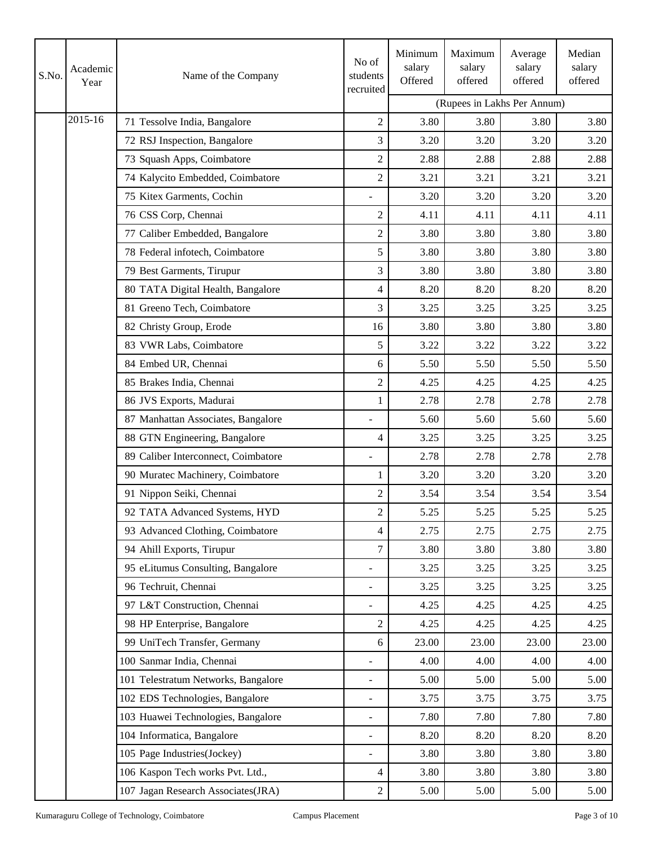| S.No. | Academic<br>Year | Name of the Company                 | No of<br>students<br>recruited | Minimum<br>salary<br>Offered | Maximum<br>salary<br>offered | Average<br>salary<br>offered | Median<br>salary<br>offered |
|-------|------------------|-------------------------------------|--------------------------------|------------------------------|------------------------------|------------------------------|-----------------------------|
|       |                  |                                     |                                |                              |                              | (Rupees in Lakhs Per Annum)  |                             |
|       | 2015-16          | 71 Tessolve India, Bangalore        | $\mathbf{2}$                   | 3.80                         | 3.80                         | 3.80                         | 3.80                        |
|       |                  | 72 RSJ Inspection, Bangalore        | 3                              | 3.20                         | 3.20                         | 3.20                         | 3.20                        |
|       |                  | 73 Squash Apps, Coimbatore          | $\mathfrak{2}$                 | 2.88                         | 2.88                         | 2.88                         | 2.88                        |
|       |                  | 74 Kalycito Embedded, Coimbatore    | $\overline{2}$                 | 3.21                         | 3.21                         | 3.21                         | 3.21                        |
|       |                  | 75 Kitex Garments, Cochin           | L.                             | 3.20                         | 3.20                         | 3.20                         | 3.20                        |
|       |                  | 76 CSS Corp, Chennai                | $\mathfrak{2}$                 | 4.11                         | 4.11                         | 4.11                         | 4.11                        |
|       |                  | 77 Caliber Embedded, Bangalore      | $\overline{2}$                 | 3.80                         | 3.80                         | 3.80                         | 3.80                        |
|       |                  | 78 Federal infotech, Coimbatore     | 5                              | 3.80                         | 3.80                         | 3.80                         | 3.80                        |
|       |                  | 79 Best Garments, Tirupur           | 3                              | 3.80                         | 3.80                         | 3.80                         | 3.80                        |
|       |                  | 80 TATA Digital Health, Bangalore   | $\overline{4}$                 | 8.20                         | 8.20                         | 8.20                         | 8.20                        |
|       |                  | 81 Greeno Tech, Coimbatore          | 3                              | 3.25                         | 3.25                         | 3.25                         | 3.25                        |
|       |                  | 82 Christy Group, Erode             | 16                             | 3.80                         | 3.80                         | 3.80                         | 3.80                        |
|       |                  | 83 VWR Labs, Coimbatore             | 5                              | 3.22                         | 3.22                         | 3.22                         | 3.22                        |
|       |                  | 84 Embed UR, Chennai                | 6                              | 5.50                         | 5.50                         | 5.50                         | 5.50                        |
|       |                  | 85 Brakes India, Chennai            | $\mathbf{2}$                   | 4.25                         | 4.25                         | 4.25                         | 4.25                        |
|       |                  | 86 JVS Exports, Madurai             | 1                              | 2.78                         | 2.78                         | 2.78                         | 2.78                        |
|       |                  | 87 Manhattan Associates, Bangalore  | $\overline{\phantom{0}}$       | 5.60                         | 5.60                         | 5.60                         | 5.60                        |
|       |                  | 88 GTN Engineering, Bangalore       | $\overline{4}$                 | 3.25                         | 3.25                         | 3.25                         | 3.25                        |
|       |                  | 89 Caliber Interconnect, Coimbatore |                                | 2.78                         | 2.78                         | 2.78                         | 2.78                        |
|       |                  | 90 Muratec Machinery, Coimbatore    | 1                              | 3.20                         | 3.20                         | 3.20                         | 3.20                        |
|       |                  | 91 Nippon Seiki, Chennai            | $\overline{2}$                 | 3.54                         | 3.54                         | 3.54                         | 3.54                        |
|       |                  | 92 TATA Advanced Systems, HYD       | $\overline{2}$                 | 5.25                         | 5.25                         | 5.25                         | 5.25                        |
|       |                  | 93 Advanced Clothing, Coimbatore    | $\overline{4}$                 | 2.75                         | 2.75                         | 2.75                         | 2.75                        |
|       |                  | 94 Ahill Exports, Tirupur           | $\tau$                         | 3.80                         | 3.80                         | 3.80                         | 3.80                        |
|       |                  | 95 eLitumus Consulting, Bangalore   | ÷,                             | 3.25                         | 3.25                         | 3.25                         | 3.25                        |
|       |                  | 96 Techruit, Chennai                | $\overline{\phantom{0}}$       | 3.25                         | 3.25                         | 3.25                         | 3.25                        |
|       |                  | 97 L&T Construction, Chennai        | $\overline{\phantom{0}}$       | 4.25                         | 4.25                         | 4.25                         | 4.25                        |
|       |                  | 98 HP Enterprise, Bangalore         | $\boldsymbol{2}$               | 4.25                         | 4.25                         | 4.25                         | 4.25                        |
|       |                  | 99 UniTech Transfer, Germany        | 6                              | 23.00                        | 23.00                        | 23.00                        | 23.00                       |
|       |                  | 100 Sanmar India, Chennai           |                                | 4.00                         | 4.00                         | 4.00                         | 4.00                        |
|       |                  | 101 Telestratum Networks, Bangalore | ÷,                             | 5.00                         | 5.00                         | 5.00                         | 5.00                        |
|       |                  | 102 EDS Technologies, Bangalore     | ÷,                             | 3.75                         | 3.75                         | 3.75                         | 3.75                        |
|       |                  | 103 Huawei Technologies, Bangalore  | ÷,                             | 7.80                         | 7.80                         | 7.80                         | 7.80                        |
|       |                  | 104 Informatica, Bangalore          | $\overline{a}$                 | 8.20                         | 8.20                         | 8.20                         | 8.20                        |
|       |                  | 105 Page Industries(Jockey)         | ÷,                             | 3.80                         | 3.80                         | 3.80                         | 3.80                        |
|       |                  | 106 Kaspon Tech works Pvt. Ltd.,    | $\overline{4}$                 | 3.80                         | 3.80                         | 3.80                         | 3.80                        |
|       |                  | 107 Jagan Research Associates(JRA)  | $\overline{2}$                 | 5.00                         | 5.00                         | 5.00                         | 5.00                        |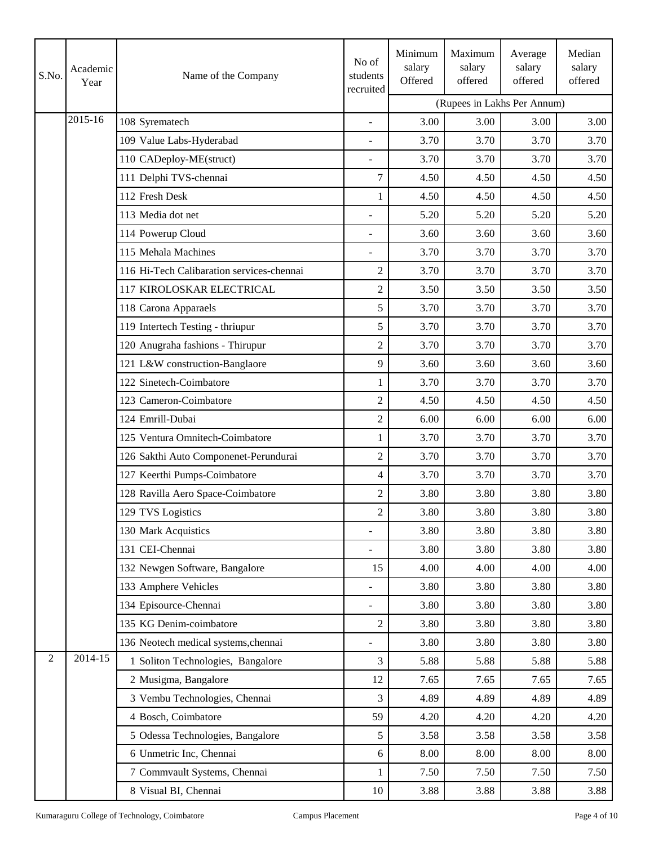| S.No.          | Academic<br>Year | Name of the Company                       | No of<br>students<br>recruited | Minimum<br>salary<br>Offered | Maximum<br>salary<br>offered | Average<br>salary<br>offered | Median<br>salary<br>offered |
|----------------|------------------|-------------------------------------------|--------------------------------|------------------------------|------------------------------|------------------------------|-----------------------------|
|                |                  |                                           |                                |                              |                              | (Rupees in Lakhs Per Annum)  |                             |
|                | 2015-16          | 108 Syrematech                            | $\overline{\phantom{a}}$       | 3.00                         | 3.00                         | 3.00                         | 3.00                        |
|                |                  | 109 Value Labs-Hyderabad                  |                                | 3.70                         | 3.70                         | 3.70                         | 3.70                        |
|                |                  | 110 CADeploy-ME(struct)                   | ÷,                             | 3.70                         | 3.70                         | 3.70                         | 3.70                        |
|                |                  | 111 Delphi TVS-chennai                    | 7                              | 4.50                         | 4.50                         | 4.50                         | 4.50                        |
|                |                  | 112 Fresh Desk                            | 1                              | 4.50                         | 4.50                         | 4.50                         | 4.50                        |
|                |                  | 113 Media dot net                         |                                | 5.20                         | 5.20                         | 5.20                         | 5.20                        |
|                |                  | 114 Powerup Cloud                         | $\overline{a}$                 | 3.60                         | 3.60                         | 3.60                         | 3.60                        |
|                |                  | 115 Mehala Machines                       |                                | 3.70                         | 3.70                         | 3.70                         | 3.70                        |
|                |                  | 116 Hi-Tech Calibaration services-chennai | $\overline{c}$                 | 3.70                         | 3.70                         | 3.70                         | 3.70                        |
|                |                  | 117 KIROLOSKAR ELECTRICAL                 | $\overline{2}$                 | 3.50                         | 3.50                         | 3.50                         | 3.50                        |
|                |                  | 118 Carona Apparaels                      | 5                              | 3.70                         | 3.70                         | 3.70                         | 3.70                        |
|                |                  | 119 Intertech Testing - thriupur          | 5                              | 3.70                         | 3.70                         | 3.70                         | 3.70                        |
|                |                  | 120 Anugraha fashions - Thirupur          | $\overline{2}$                 | 3.70                         | 3.70                         | 3.70                         | 3.70                        |
|                |                  | 121 L&W construction-Banglaore            | 9                              | 3.60                         | 3.60                         | 3.60                         | 3.60                        |
|                |                  | 122 Sinetech-Coimbatore                   | 1                              | 3.70                         | 3.70                         | 3.70                         | 3.70                        |
|                |                  | 123 Cameron-Coimbatore                    | $\mathfrak{2}$                 | 4.50                         | 4.50                         | 4.50                         | 4.50                        |
|                |                  | 124 Emrill-Dubai                          | $\mathfrak{2}$                 | 6.00                         | 6.00                         | 6.00                         | 6.00                        |
|                |                  | 125 Ventura Omnitech-Coimbatore           | 1                              | 3.70                         | 3.70                         | 3.70                         | 3.70                        |
|                |                  | 126 Sakthi Auto Componenet-Perundurai     | $\overline{2}$                 | 3.70                         | 3.70                         | 3.70                         | 3.70                        |
|                |                  | 127 Keerthi Pumps-Coimbatore              | $\overline{4}$                 | 3.70                         | 3.70                         | 3.70                         | 3.70                        |
|                |                  | 128 Ravilla Aero Space-Coimbatore         | $\overline{2}$                 | 3.80                         | 3.80                         | 3.80                         | 3.80                        |
|                |                  | 129 TVS Logistics                         | $\overline{2}$                 | 3.80                         | 3.80                         | 3.80                         | 3.80                        |
|                |                  | 130 Mark Acquistics                       | $\blacksquare$                 | 3.80                         | 3.80                         | 3.80                         | 3.80                        |
|                |                  | 131 CEI-Chennai                           | $\overline{a}$                 | 3.80                         | 3.80                         | 3.80                         | 3.80                        |
|                |                  | 132 Newgen Software, Bangalore            | 15                             | 4.00                         | 4.00                         | 4.00                         | 4.00                        |
|                |                  | 133 Amphere Vehicles                      | $\overline{a}$                 | 3.80                         | 3.80                         | 3.80                         | 3.80                        |
|                |                  | 134 Episource-Chennai                     | $\overline{\phantom{a}}$       | 3.80                         | 3.80                         | 3.80                         | 3.80                        |
|                |                  | 135 KG Denim-coimbatore                   | $\mathfrak{2}$                 | 3.80                         | 3.80                         | 3.80                         | 3.80                        |
|                |                  | 136 Neotech medical systems, chennai      |                                | 3.80                         | 3.80                         | 3.80                         | 3.80                        |
| $\overline{2}$ | 2014-15          | 1 Soliton Technologies, Bangalore         | $\mathfrak{Z}$                 | 5.88                         | 5.88                         | 5.88                         | 5.88                        |
|                |                  | 2 Musigma, Bangalore                      | 12                             | 7.65                         | 7.65                         | 7.65                         | 7.65                        |
|                |                  | 3 Vembu Technologies, Chennai             | 3                              | 4.89                         | 4.89                         | 4.89                         | 4.89                        |
|                |                  | 4 Bosch, Coimbatore                       | 59                             | 4.20                         | 4.20                         | 4.20                         | 4.20                        |
|                |                  | 5 Odessa Technologies, Bangalore          | 5                              | 3.58                         | 3.58                         | 3.58                         | 3.58                        |
|                |                  | 6 Unmetric Inc, Chennai                   | 6                              | 8.00                         | 8.00                         | 8.00                         | 8.00                        |
|                |                  | 7 Commvault Systems, Chennai              | 1                              | 7.50                         | 7.50                         | 7.50                         | 7.50                        |
|                |                  | 8 Visual BI, Chennai                      | 10                             | 3.88                         | 3.88                         | 3.88                         | 3.88                        |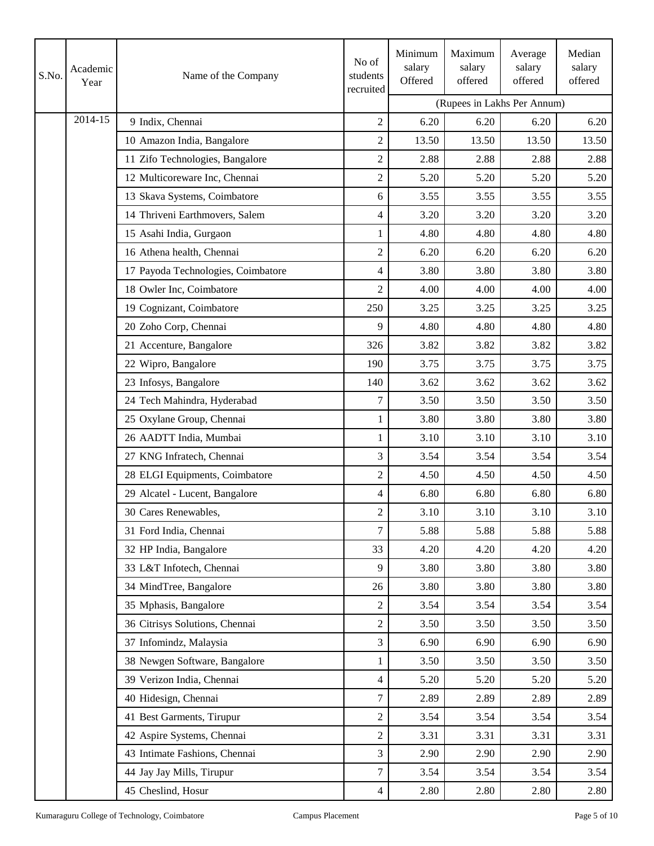| S.No. | Academic<br>Year | Name of the Company                | No of<br>students<br>recruited | Minimum<br>salary<br>Offered | Maximum<br>salary<br>offered | Average<br>salary<br>offered | Median<br>salary<br>offered |  |  |
|-------|------------------|------------------------------------|--------------------------------|------------------------------|------------------------------|------------------------------|-----------------------------|--|--|
|       |                  |                                    |                                | (Rupees in Lakhs Per Annum)  |                              |                              |                             |  |  |
|       | 2014-15          | 9 Indix, Chennai                   | $\mathbf{2}$                   | 6.20                         | 6.20                         | 6.20                         | 6.20                        |  |  |
|       |                  | 10 Amazon India, Bangalore         | $\overline{2}$                 | 13.50                        | 13.50                        | 13.50                        | 13.50                       |  |  |
|       |                  | 11 Zifo Technologies, Bangalore    | $\mathfrak{2}$                 | 2.88                         | 2.88                         | 2.88                         | 2.88                        |  |  |
|       |                  | 12 Multicoreware Inc, Chennai      | $\overline{2}$                 | 5.20                         | 5.20                         | 5.20                         | 5.20                        |  |  |
|       |                  | 13 Skava Systems, Coimbatore       | 6                              | 3.55                         | 3.55                         | 3.55                         | 3.55                        |  |  |
|       |                  | 14 Thriveni Earthmovers, Salem     | 4                              | 3.20                         | 3.20                         | 3.20                         | 3.20                        |  |  |
|       |                  | 15 Asahi India, Gurgaon            | 1                              | 4.80                         | 4.80                         | 4.80                         | 4.80                        |  |  |
|       |                  | 16 Athena health, Chennai          | $\overline{2}$                 | 6.20                         | 6.20                         | 6.20                         | 6.20                        |  |  |
|       |                  | 17 Payoda Technologies, Coimbatore | $\overline{4}$                 | 3.80                         | 3.80                         | 3.80                         | 3.80                        |  |  |
|       |                  | 18 Owler Inc, Coimbatore           | $\overline{2}$                 | 4.00                         | 4.00                         | 4.00                         | 4.00                        |  |  |
|       |                  | 19 Cognizant, Coimbatore           | 250                            | 3.25                         | 3.25                         | 3.25                         | 3.25                        |  |  |
|       |                  | 20 Zoho Corp, Chennai              | 9                              | 4.80                         | 4.80                         | 4.80                         | 4.80                        |  |  |
|       |                  | 21 Accenture, Bangalore            | 326                            | 3.82                         | 3.82                         | 3.82                         | 3.82                        |  |  |
|       |                  | 22 Wipro, Bangalore                | 190                            | 3.75                         | 3.75                         | 3.75                         | 3.75                        |  |  |
|       |                  | 23 Infosys, Bangalore              | 140                            | 3.62                         | 3.62                         | 3.62                         | 3.62                        |  |  |
|       |                  | 24 Tech Mahindra, Hyderabad        | 7                              | 3.50                         | 3.50                         | 3.50                         | 3.50                        |  |  |
|       |                  | 25 Oxylane Group, Chennai          | 1                              | 3.80                         | 3.80                         | 3.80                         | 3.80                        |  |  |
|       |                  | 26 AADTT India, Mumbai             | 1                              | 3.10                         | 3.10                         | 3.10                         | 3.10                        |  |  |
|       |                  | 27 KNG Infratech, Chennai          | 3                              | 3.54                         | 3.54                         | 3.54                         | 3.54                        |  |  |
|       |                  | 28 ELGI Equipments, Coimbatore     | $\overline{2}$                 | 4.50                         | 4.50                         | 4.50                         | 4.50                        |  |  |
|       |                  | 29 Alcatel - Lucent, Bangalore     | $\overline{4}$                 | 6.80                         | 6.80                         | 6.80                         | 6.80                        |  |  |
|       |                  | 30 Cares Renewables,               | $\mathfrak{2}$                 | 3.10                         | 3.10                         | 3.10                         | 3.10                        |  |  |
|       |                  | 31 Ford India, Chennai             | $\tau$                         | 5.88                         | 5.88                         | 5.88                         | 5.88                        |  |  |
|       |                  | 32 HP India, Bangalore             | 33                             | 4.20                         | 4.20                         | 4.20                         | 4.20                        |  |  |
|       |                  | 33 L&T Infotech, Chennai           | 9                              | 3.80                         | 3.80                         | 3.80                         | 3.80                        |  |  |
|       |                  | 34 MindTree, Bangalore             | 26                             | 3.80                         | 3.80                         | 3.80                         | 3.80                        |  |  |
|       |                  | 35 Mphasis, Bangalore              | $\overline{2}$                 | 3.54                         | 3.54                         | 3.54                         | 3.54                        |  |  |
|       |                  | 36 Citrisys Solutions, Chennai     | $\boldsymbol{2}$               | 3.50                         | 3.50                         | 3.50                         | 3.50                        |  |  |
|       |                  | 37 Infomindz, Malaysia             | $\mathfrak{Z}$                 | 6.90                         | 6.90                         | 6.90                         | 6.90                        |  |  |
|       |                  | 38 Newgen Software, Bangalore      | $\mathbf{1}$                   | 3.50                         | 3.50                         | 3.50                         | 3.50                        |  |  |
|       |                  | 39 Verizon India, Chennai          | $\overline{4}$                 | 5.20                         | 5.20                         | 5.20                         | 5.20                        |  |  |
|       |                  | 40 Hidesign, Chennai               | $\tau$                         | 2.89                         | 2.89                         | 2.89                         | 2.89                        |  |  |
|       |                  | 41 Best Garments, Tirupur          | $\sqrt{2}$                     | 3.54                         | 3.54                         | 3.54                         | 3.54                        |  |  |
|       |                  | 42 Aspire Systems, Chennai         | $\overline{2}$                 | 3.31                         | 3.31                         | 3.31                         | 3.31                        |  |  |
|       |                  | 43 Intimate Fashions, Chennai      | 3                              | 2.90                         | 2.90                         | 2.90                         | 2.90                        |  |  |
|       |                  | 44 Jay Jay Mills, Tirupur          | $\tau$                         | 3.54                         | 3.54                         | 3.54                         | 3.54                        |  |  |
|       |                  | 45 Cheslind, Hosur                 | $\overline{4}$                 | 2.80                         | 2.80                         | 2.80                         | 2.80                        |  |  |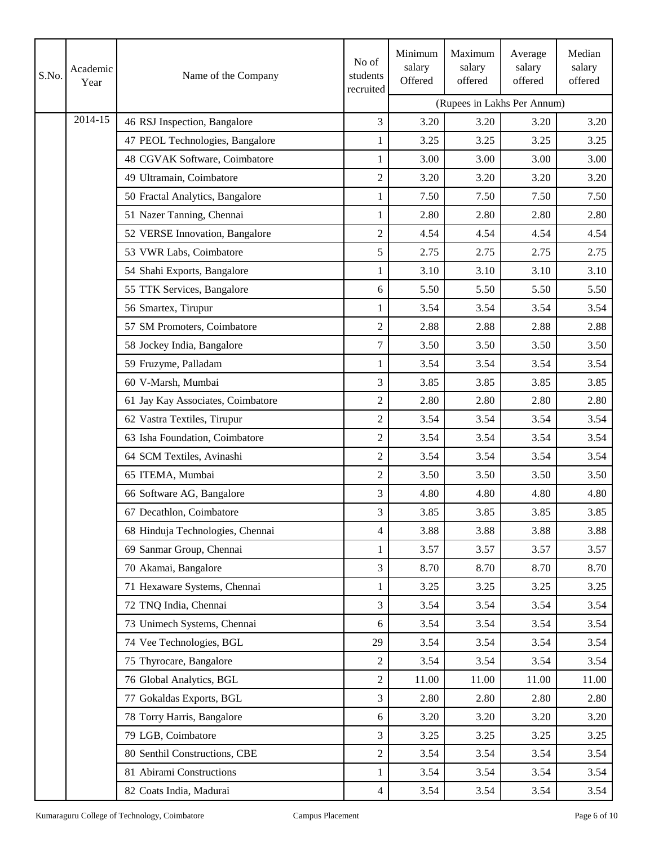| S.No. | Academic<br>Year | Name of the Company               | No of<br>students<br>recruited | Minimum<br>salary<br>Offered | Maximum<br>salary<br>offered | Average<br>salary<br>offered | Median<br>salary<br>offered |  |  |
|-------|------------------|-----------------------------------|--------------------------------|------------------------------|------------------------------|------------------------------|-----------------------------|--|--|
|       |                  |                                   |                                | (Rupees in Lakhs Per Annum)  |                              |                              |                             |  |  |
|       | 2014-15          | 46 RSJ Inspection, Bangalore      | $\overline{3}$                 | 3.20                         | 3.20                         | 3.20                         | 3.20                        |  |  |
|       |                  | 47 PEOL Technologies, Bangalore   | 1                              | 3.25                         | 3.25                         | 3.25                         | 3.25                        |  |  |
|       |                  | 48 CGVAK Software, Coimbatore     | 1                              | 3.00                         | 3.00                         | 3.00                         | 3.00                        |  |  |
|       |                  | 49 Ultramain, Coimbatore          | $\overline{2}$                 | 3.20                         | 3.20                         | 3.20                         | 3.20                        |  |  |
|       |                  | 50 Fractal Analytics, Bangalore   | 1                              | 7.50                         | 7.50                         | 7.50                         | 7.50                        |  |  |
|       |                  | 51 Nazer Tanning, Chennai         | 1                              | 2.80                         | 2.80                         | 2.80                         | 2.80                        |  |  |
|       |                  | 52 VERSE Innovation, Bangalore    | $\overline{2}$                 | 4.54                         | 4.54                         | 4.54                         | 4.54                        |  |  |
|       |                  | 53 VWR Labs, Coimbatore           | 5                              | 2.75                         | 2.75                         | 2.75                         | 2.75                        |  |  |
|       |                  | 54 Shahi Exports, Bangalore       | 1                              | 3.10                         | 3.10                         | 3.10                         | 3.10                        |  |  |
|       |                  | 55 TTK Services, Bangalore        | $6\,$                          | 5.50                         | 5.50                         | 5.50                         | 5.50                        |  |  |
|       |                  | 56 Smartex, Tirupur               | 1                              | 3.54                         | 3.54                         | 3.54                         | 3.54                        |  |  |
|       |                  | 57 SM Promoters, Coimbatore       | $\overline{2}$                 | 2.88                         | 2.88                         | 2.88                         | 2.88                        |  |  |
|       |                  | 58 Jockey India, Bangalore        | $\tau$                         | 3.50                         | 3.50                         | 3.50                         | 3.50                        |  |  |
|       |                  | 59 Fruzyme, Palladam              | 1                              | 3.54                         | 3.54                         | 3.54                         | 3.54                        |  |  |
|       |                  | 60 V-Marsh, Mumbai                | 3                              | 3.85                         | 3.85                         | 3.85                         | 3.85                        |  |  |
|       |                  | 61 Jay Kay Associates, Coimbatore | $\overline{2}$                 | 2.80                         | 2.80                         | 2.80                         | 2.80                        |  |  |
|       |                  | 62 Vastra Textiles, Tirupur       | $\overline{2}$                 | 3.54                         | 3.54                         | 3.54                         | 3.54                        |  |  |
|       |                  | 63 Isha Foundation, Coimbatore    | $\mathfrak{2}$                 | 3.54                         | 3.54                         | 3.54                         | 3.54                        |  |  |
|       |                  | 64 SCM Textiles, Avinashi         | $\overline{2}$                 | 3.54                         | 3.54                         | 3.54                         | 3.54                        |  |  |
|       |                  | 65 ITEMA, Mumbai                  | $\overline{2}$                 | 3.50                         | 3.50                         | 3.50                         | 3.50                        |  |  |
|       |                  | 66 Software AG, Bangalore         | 3                              | 4.80                         | 4.80                         | 4.80                         | 4.80                        |  |  |
|       |                  | 67 Decathlon, Coimbatore          | 3                              | 3.85                         | 3.85                         | 3.85                         | 3.85                        |  |  |
|       |                  | 68 Hinduja Technologies, Chennai  | $\overline{4}$                 | 3.88                         | 3.88                         | 3.88                         | 3.88                        |  |  |
|       |                  | 69 Sanmar Group, Chennai          | 1                              | 3.57                         | 3.57                         | 3.57                         | 3.57                        |  |  |
|       |                  | 70 Akamai, Bangalore              | 3                              | 8.70                         | 8.70                         | 8.70                         | 8.70                        |  |  |
|       |                  | 71 Hexaware Systems, Chennai      | 1                              | 3.25                         | 3.25                         | 3.25                         | 3.25                        |  |  |
|       |                  | 72 TNQ India, Chennai             | $\overline{3}$                 | 3.54                         | 3.54                         | 3.54                         | 3.54                        |  |  |
|       |                  | 73 Unimech Systems, Chennai       | 6                              | 3.54                         | 3.54                         | 3.54                         | 3.54                        |  |  |
|       |                  | 74 Vee Technologies, BGL          | 29                             | 3.54                         | 3.54                         | 3.54                         | 3.54                        |  |  |
|       |                  | 75 Thyrocare, Bangalore           | $\overline{2}$                 | 3.54                         | 3.54                         | 3.54                         | 3.54                        |  |  |
|       |                  | 76 Global Analytics, BGL          | $\overline{2}$                 | 11.00                        | 11.00                        | 11.00                        | 11.00                       |  |  |
|       |                  | 77 Gokaldas Exports, BGL          | $\overline{3}$                 | 2.80                         | 2.80                         | 2.80                         | 2.80                        |  |  |
|       |                  | 78 Torry Harris, Bangalore        | 6                              | 3.20                         | 3.20                         | 3.20                         | 3.20                        |  |  |
|       |                  | 79 LGB, Coimbatore                | 3                              | 3.25                         | 3.25                         | 3.25                         | 3.25                        |  |  |
|       |                  | 80 Senthil Constructions, CBE     | $\overline{2}$                 | 3.54                         | 3.54                         | 3.54                         | 3.54                        |  |  |
|       |                  | 81 Abirami Constructions          | 1                              | 3.54                         | 3.54                         | 3.54                         | 3.54                        |  |  |
|       |                  | 82 Coats India, Madurai           | $\overline{4}$                 | 3.54                         | 3.54                         | 3.54                         | 3.54                        |  |  |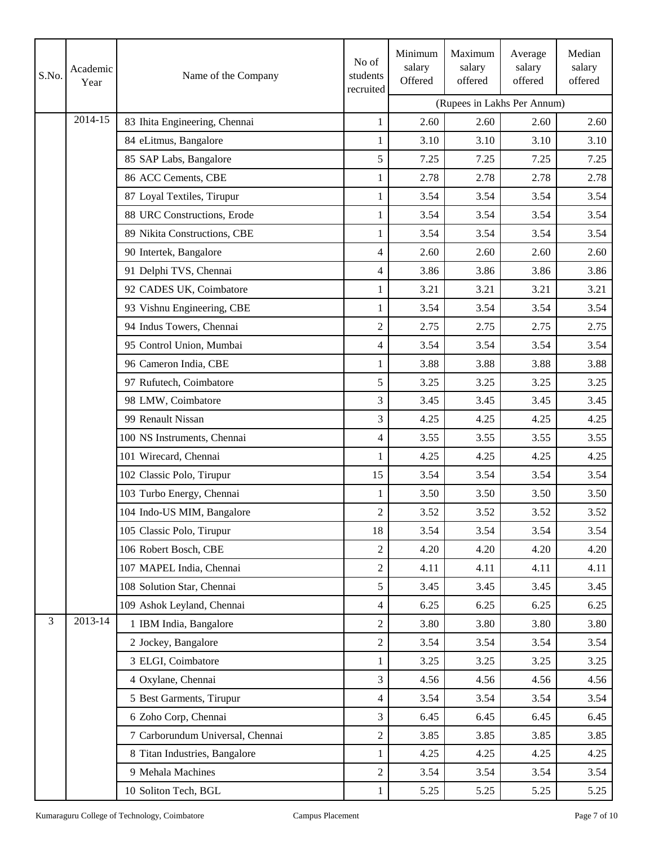| S.No. | Academic<br>Year | Name of the Company              | No of<br>students<br>recruited | Minimum<br>salary<br>Offered | Maximum<br>salary<br>offered | Average<br>salary<br>offered | Median<br>salary<br>offered |
|-------|------------------|----------------------------------|--------------------------------|------------------------------|------------------------------|------------------------------|-----------------------------|
|       |                  |                                  |                                |                              | (Rupees in Lakhs Per Annum)  |                              |                             |
|       | 2014-15          | 83 Ihita Engineering, Chennai    | $\mathbf{1}$                   | 2.60                         | 2.60                         | 2.60                         | 2.60                        |
|       |                  | 84 eLitmus, Bangalore            | 1                              | 3.10                         | 3.10                         | 3.10                         | 3.10                        |
|       |                  | 85 SAP Labs, Bangalore           | 5                              | 7.25                         | 7.25                         | 7.25                         | 7.25                        |
|       |                  | 86 ACC Cements, CBE              | 1                              | 2.78                         | 2.78                         | 2.78                         | 2.78                        |
|       |                  | 87 Loyal Textiles, Tirupur       | 1                              | 3.54                         | 3.54                         | 3.54                         | 3.54                        |
|       |                  | 88 URC Constructions, Erode      | 1                              | 3.54                         | 3.54                         | 3.54                         | 3.54                        |
|       |                  | 89 Nikita Constructions, CBE     | 1                              | 3.54                         | 3.54                         | 3.54                         | 3.54                        |
|       |                  | 90 Intertek, Bangalore           | $\overline{4}$                 | 2.60                         | 2.60                         | 2.60                         | 2.60                        |
|       |                  | 91 Delphi TVS, Chennai           | $\overline{4}$                 | 3.86                         | 3.86                         | 3.86                         | 3.86                        |
|       |                  | 92 CADES UK, Coimbatore          | 1                              | 3.21                         | 3.21                         | 3.21                         | 3.21                        |
|       |                  | 93 Vishnu Engineering, CBE       | 1                              | 3.54                         | 3.54                         | 3.54                         | 3.54                        |
|       |                  | 94 Indus Towers, Chennai         | $\overline{2}$                 | 2.75                         | 2.75                         | 2.75                         | 2.75                        |
|       |                  | 95 Control Union, Mumbai         | $\overline{4}$                 | 3.54                         | 3.54                         | 3.54                         | 3.54                        |
|       |                  | 96 Cameron India, CBE            | $\mathbf{1}$                   | 3.88                         | 3.88                         | 3.88                         | 3.88                        |
|       |                  | 97 Rufutech, Coimbatore          | 5                              | 3.25                         | 3.25                         | 3.25                         | 3.25                        |
|       |                  | 98 LMW, Coimbatore               | 3                              | 3.45                         | 3.45                         | 3.45                         | 3.45                        |
|       |                  | 99 Renault Nissan                | 3                              | 4.25                         | 4.25                         | 4.25                         | 4.25                        |
|       |                  | 100 NS Instruments, Chennai      | $\overline{4}$                 | 3.55                         | 3.55                         | 3.55                         | 3.55                        |
|       |                  | 101 Wirecard, Chennai            | 1                              | 4.25                         | 4.25                         | 4.25                         | 4.25                        |
|       |                  | 102 Classic Polo, Tirupur        | 15                             | 3.54                         | 3.54                         | 3.54                         | 3.54                        |
|       |                  | 103 Turbo Energy, Chennai        | $\mathbf{1}$                   | 3.50                         | 3.50                         | 3.50                         | 3.50                        |
|       |                  | 104 Indo-US MIM, Bangalore       | $\mathfrak{2}$                 | 3.52                         | 3.52                         | 3.52                         | 3.52                        |
|       |                  | 105 Classic Polo, Tirupur        | 18                             | 3.54                         | 3.54                         | 3.54                         | 3.54                        |
|       |                  | 106 Robert Bosch, CBE            | $\overline{2}$                 | 4.20                         | 4.20                         | 4.20                         | 4.20                        |
|       |                  | 107 MAPEL India, Chennai         | $\overline{2}$                 | 4.11                         | 4.11                         | 4.11                         | 4.11                        |
|       |                  | 108 Solution Star, Chennai       | 5                              | 3.45                         | 3.45                         | 3.45                         | 3.45                        |
|       |                  | 109 Ashok Leyland, Chennai       | $\overline{4}$                 | 6.25                         | 6.25                         | 6.25                         | 6.25                        |
| 3     | 2013-14          | 1 IBM India, Bangalore           | $\overline{2}$                 | 3.80                         | 3.80                         | 3.80                         | 3.80                        |
|       |                  | 2 Jockey, Bangalore              | $\sqrt{2}$                     | 3.54                         | 3.54                         | 3.54                         | 3.54                        |
|       |                  | 3 ELGI, Coimbatore               | $\mathbf{1}$                   | 3.25                         | 3.25                         | 3.25                         | 3.25                        |
|       |                  | 4 Oxylane, Chennai               | $\overline{3}$                 | 4.56                         | 4.56                         | 4.56                         | 4.56                        |
|       |                  | 5 Best Garments, Tirupur         | $\overline{4}$                 | 3.54                         | 3.54                         | 3.54                         | 3.54                        |
|       |                  | 6 Zoho Corp, Chennai             | $\overline{3}$                 | 6.45                         | 6.45                         | 6.45                         | 6.45                        |
|       |                  | 7 Carborundum Universal, Chennai | $\overline{2}$                 | 3.85                         | 3.85                         | 3.85                         | 3.85                        |
|       |                  | 8 Titan Industries, Bangalore    | 1                              | 4.25                         | 4.25                         | 4.25                         | 4.25                        |
|       |                  | 9 Mehala Machines                | $\overline{2}$                 | 3.54                         | 3.54                         | 3.54                         | 3.54                        |
|       |                  | 10 Soliton Tech, BGL             | $\mathbf{1}$                   | 5.25                         | 5.25                         | 5.25                         | 5.25                        |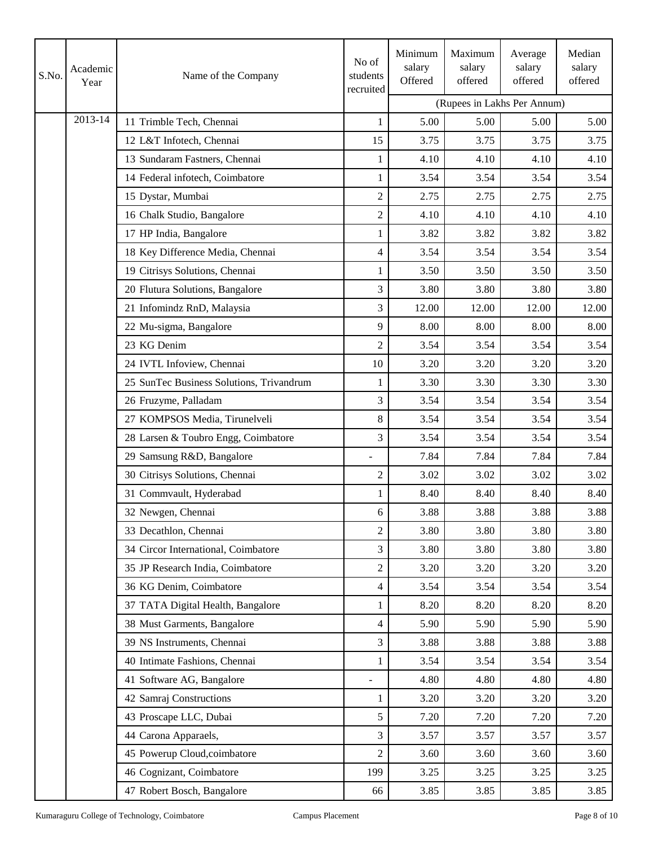| S.No. | Academic<br>Year | Name of the Company                      | No of<br>students<br>recruited | Minimum<br>salary<br>Offered | Maximum<br>salary<br>offered | Average<br>salary<br>offered | Median<br>salary<br>offered |
|-------|------------------|------------------------------------------|--------------------------------|------------------------------|------------------------------|------------------------------|-----------------------------|
|       |                  |                                          |                                |                              |                              | (Rupees in Lakhs Per Annum)  |                             |
|       | 2013-14          | 11 Trimble Tech, Chennai                 | 1                              | 5.00                         | 5.00                         | 5.00                         | 5.00                        |
|       |                  | 12 L&T Infotech, Chennai                 | 15                             | 3.75                         | 3.75                         | 3.75                         | 3.75                        |
|       |                  | 13 Sundaram Fastners, Chennai            | 1                              | 4.10                         | 4.10                         | 4.10                         | 4.10                        |
|       |                  | 14 Federal infotech, Coimbatore          | 1                              | 3.54                         | 3.54                         | 3.54                         | 3.54                        |
|       |                  | 15 Dystar, Mumbai                        | $\overline{2}$                 | 2.75                         | 2.75                         | 2.75                         | 2.75                        |
|       |                  | 16 Chalk Studio, Bangalore               | $\overline{2}$                 | 4.10                         | 4.10                         | 4.10                         | 4.10                        |
|       |                  | 17 HP India, Bangalore                   | 1                              | 3.82                         | 3.82                         | 3.82                         | 3.82                        |
|       |                  | 18 Key Difference Media, Chennai         | $\overline{4}$                 | 3.54                         | 3.54                         | 3.54                         | 3.54                        |
|       |                  | 19 Citrisys Solutions, Chennai           | 1                              | 3.50                         | 3.50                         | 3.50                         | 3.50                        |
|       |                  | 20 Flutura Solutions, Bangalore          | 3                              | 3.80                         | 3.80                         | 3.80                         | 3.80                        |
|       |                  | 21 Infomindz RnD, Malaysia               | 3                              | 12.00                        | 12.00                        | 12.00                        | 12.00                       |
|       |                  | 22 Mu-sigma, Bangalore                   | 9                              | 8.00                         | 8.00                         | 8.00                         | 8.00                        |
|       |                  | 23 KG Denim                              | $\mathfrak{2}$                 | 3.54                         | 3.54                         | 3.54                         | 3.54                        |
|       |                  | 24 IVTL Infoview, Chennai                | 10                             | 3.20                         | 3.20                         | 3.20                         | 3.20                        |
|       |                  | 25 SunTec Business Solutions, Trivandrum | 1                              | 3.30                         | 3.30                         | 3.30                         | 3.30                        |
|       |                  | 26 Fruzyme, Palladam                     | 3                              | 3.54                         | 3.54                         | 3.54                         | 3.54                        |
|       |                  | 27 KOMPSOS Media, Tirunelveli            | 8                              | 3.54                         | 3.54                         | 3.54                         | 3.54                        |
|       |                  | 28 Larsen & Toubro Engg, Coimbatore      | $\overline{3}$                 | 3.54                         | 3.54                         | 3.54                         | 3.54                        |
|       |                  | 29 Samsung R&D, Bangalore                |                                | 7.84                         | 7.84                         | 7.84                         | 7.84                        |
|       |                  | 30 Citrisys Solutions, Chennai           | $\overline{2}$                 | 3.02                         | 3.02                         | 3.02                         | 3.02                        |
|       |                  | 31 Commvault, Hyderabad                  | 1                              | 8.40                         | 8.40                         | 8.40                         | 8.40                        |
|       |                  | 32 Newgen, Chennai                       | 6                              | 3.88                         | 3.88                         | 3.88                         | 3.88                        |
|       |                  | 33 Decathlon, Chennai                    | $\mathfrak{2}$                 | 3.80                         | 3.80                         | 3.80                         | 3.80                        |
|       |                  | 34 Circor International, Coimbatore      | 3                              | 3.80                         | 3.80                         | 3.80                         | 3.80                        |
|       |                  | 35 JP Research India, Coimbatore         | $\overline{2}$                 | 3.20                         | 3.20                         | 3.20                         | 3.20                        |
|       |                  | 36 KG Denim, Coimbatore                  | 4                              | 3.54                         | 3.54                         | 3.54                         | 3.54                        |
|       |                  | 37 TATA Digital Health, Bangalore        | 1                              | 8.20                         | 8.20                         | 8.20                         | 8.20                        |
|       |                  | 38 Must Garments, Bangalore              | $\overline{4}$                 | 5.90                         | 5.90                         | 5.90                         | 5.90                        |
|       |                  | 39 NS Instruments, Chennai               | $\overline{3}$                 | 3.88                         | 3.88                         | 3.88                         | 3.88                        |
|       |                  | 40 Intimate Fashions, Chennai            | 1                              | 3.54                         | 3.54                         | 3.54                         | 3.54                        |
|       |                  | 41 Software AG, Bangalore                | ÷,                             | 4.80                         | 4.80                         | 4.80                         | 4.80                        |
|       |                  | 42 Samraj Constructions                  | 1                              | 3.20                         | 3.20                         | 3.20                         | 3.20                        |
|       |                  | 43 Proscape LLC, Dubai                   | 5                              | 7.20                         | 7.20                         | 7.20                         | 7.20                        |
|       |                  | 44 Carona Apparaels,                     | 3                              | 3.57                         | 3.57                         | 3.57                         | 3.57                        |
|       |                  | 45 Powerup Cloud, coimbatore             | $\mathbf{2}$                   | 3.60                         | 3.60                         | 3.60                         | 3.60                        |
|       |                  | 46 Cognizant, Coimbatore                 | 199                            | 3.25                         | 3.25                         | 3.25                         | 3.25                        |
|       |                  | 47 Robert Bosch, Bangalore               | 66                             | 3.85                         | 3.85                         | 3.85                         | 3.85                        |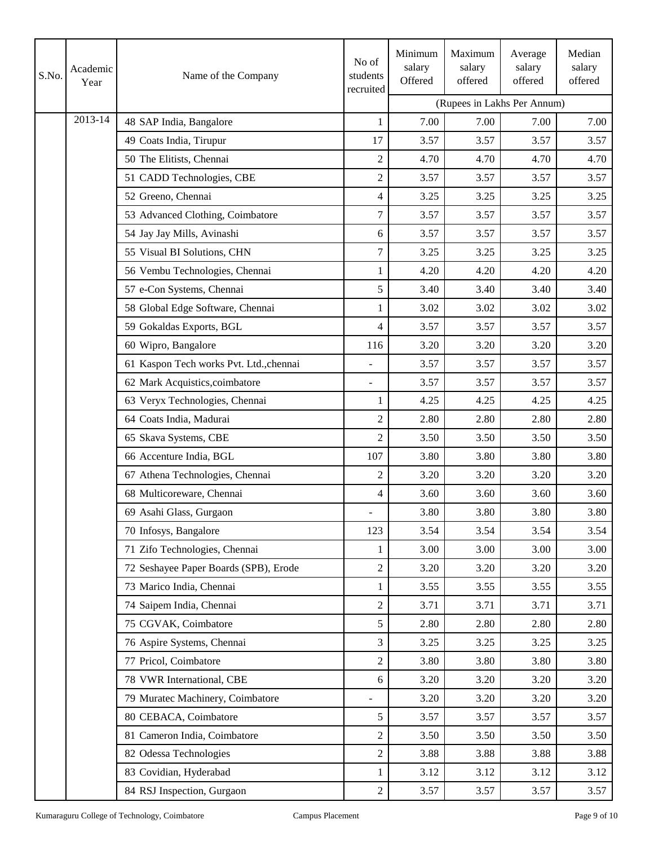| S.No. | Academic<br>Year | Name of the Company                     | No of<br>students<br>recruited | Minimum<br>salary<br>Offered | Maximum<br>salary<br>offered | Average<br>salary<br>offered | Median<br>salary<br>offered |  |  |
|-------|------------------|-----------------------------------------|--------------------------------|------------------------------|------------------------------|------------------------------|-----------------------------|--|--|
|       |                  |                                         |                                | (Rupees in Lakhs Per Annum)  |                              |                              |                             |  |  |
|       | 2013-14          | 48 SAP India, Bangalore                 | 1                              | 7.00                         | 7.00                         | 7.00                         | 7.00                        |  |  |
|       |                  | 49 Coats India, Tirupur                 | 17                             | 3.57                         | 3.57                         | 3.57                         | 3.57                        |  |  |
|       |                  | 50 The Elitists, Chennai                | $\mathfrak{2}$                 | 4.70                         | 4.70                         | 4.70                         | 4.70                        |  |  |
|       |                  | 51 CADD Technologies, CBE               | $\overline{2}$                 | 3.57                         | 3.57                         | 3.57                         | 3.57                        |  |  |
|       |                  | 52 Greeno, Chennai                      | $\overline{4}$                 | 3.25                         | 3.25                         | 3.25                         | 3.25                        |  |  |
|       |                  | 53 Advanced Clothing, Coimbatore        | 7                              | 3.57                         | 3.57                         | 3.57                         | 3.57                        |  |  |
|       |                  | 54 Jay Jay Mills, Avinashi              | 6                              | 3.57                         | 3.57                         | 3.57                         | 3.57                        |  |  |
|       |                  | 55 Visual BI Solutions, CHN             | $\tau$                         | 3.25                         | 3.25                         | 3.25                         | 3.25                        |  |  |
|       |                  | 56 Vembu Technologies, Chennai          | 1                              | 4.20                         | 4.20                         | 4.20                         | 4.20                        |  |  |
|       |                  | 57 e-Con Systems, Chennai               | 5                              | 3.40                         | 3.40                         | 3.40                         | 3.40                        |  |  |
|       |                  | 58 Global Edge Software, Chennai        | 1                              | 3.02                         | 3.02                         | 3.02                         | 3.02                        |  |  |
|       |                  | 59 Gokaldas Exports, BGL                | $\overline{4}$                 | 3.57                         | 3.57                         | 3.57                         | 3.57                        |  |  |
|       |                  | 60 Wipro, Bangalore                     | 116                            | 3.20                         | 3.20                         | 3.20                         | 3.20                        |  |  |
|       |                  | 61 Kaspon Tech works Pvt. Ltd., chennai | ÷,                             | 3.57                         | 3.57                         | 3.57                         | 3.57                        |  |  |
|       |                  | 62 Mark Acquistics, coimbatore          | L.                             | 3.57                         | 3.57                         | 3.57                         | 3.57                        |  |  |
|       |                  | 63 Veryx Technologies, Chennai          | 1                              | 4.25                         | 4.25                         | 4.25                         | 4.25                        |  |  |
|       |                  | 64 Coats India, Madurai                 | $\mathfrak{2}$                 | 2.80                         | 2.80                         | 2.80                         | 2.80                        |  |  |
|       |                  | 65 Skava Systems, CBE                   | $\overline{2}$                 | 3.50                         | 3.50                         | 3.50                         | 3.50                        |  |  |
|       |                  | 66 Accenture India, BGL                 | 107                            | 3.80                         | 3.80                         | 3.80                         | 3.80                        |  |  |
|       |                  | 67 Athena Technologies, Chennai         | $\overline{2}$                 | 3.20                         | 3.20                         | 3.20                         | 3.20                        |  |  |
|       |                  | 68 Multicoreware, Chennai               | $\overline{4}$                 | 3.60                         | 3.60                         | 3.60                         | 3.60                        |  |  |
|       |                  | 69 Asahi Glass, Gurgaon                 |                                | 3.80                         | 3.80                         | 3.80                         | 3.80                        |  |  |
|       |                  | 70 Infosys, Bangalore                   | 123                            | 3.54                         | 3.54                         | 3.54                         | 3.54                        |  |  |
|       |                  | 71 Zifo Technologies, Chennai           | 1                              | 3.00                         | 3.00                         | 3.00                         | 3.00                        |  |  |
|       |                  | 72 Seshayee Paper Boards (SPB), Erode   | $\overline{2}$                 | 3.20                         | 3.20                         | 3.20                         | 3.20                        |  |  |
|       |                  | 73 Marico India, Chennai                | 1                              | 3.55                         | 3.55                         | 3.55                         | 3.55                        |  |  |
|       |                  | 74 Saipem India, Chennai                | $\overline{2}$                 | 3.71                         | 3.71                         | 3.71                         | 3.71                        |  |  |
|       |                  | 75 CGVAK, Coimbatore                    | 5                              | 2.80                         | 2.80                         | 2.80                         | 2.80                        |  |  |
|       |                  | 76 Aspire Systems, Chennai              | $\mathfrak{Z}$                 | 3.25                         | 3.25                         | 3.25                         | 3.25                        |  |  |
|       |                  | 77 Pricol, Coimbatore                   | $\overline{2}$                 | 3.80                         | 3.80                         | 3.80                         | 3.80                        |  |  |
|       |                  | 78 VWR International, CBE               | 6                              | 3.20                         | 3.20                         | 3.20                         | 3.20                        |  |  |
|       |                  | 79 Muratec Machinery, Coimbatore        | $\overline{a}$                 | 3.20                         | 3.20                         | 3.20                         | 3.20                        |  |  |
|       |                  | 80 CEBACA, Coimbatore                   | 5                              | 3.57                         | 3.57                         | 3.57                         | 3.57                        |  |  |
|       |                  | 81 Cameron India, Coimbatore            | $\overline{2}$                 | 3.50                         | 3.50                         | 3.50                         | 3.50                        |  |  |
|       |                  | 82 Odessa Technologies                  | $\overline{2}$                 | 3.88                         | 3.88                         | 3.88                         | 3.88                        |  |  |
|       |                  | 83 Covidian, Hyderabad                  | 1                              | 3.12                         | 3.12                         | 3.12                         | 3.12                        |  |  |
|       |                  | 84 RSJ Inspection, Gurgaon              | $\sqrt{2}$                     | 3.57                         | 3.57                         | 3.57                         | 3.57                        |  |  |